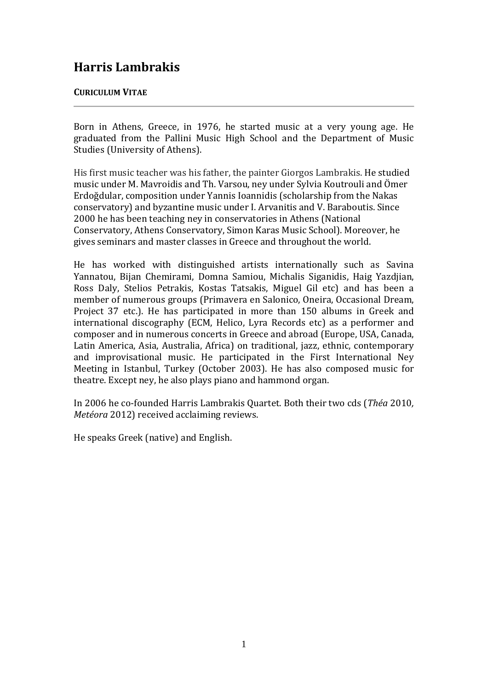## **Harris Lambrakis**

## **CURICULUM VITAE**

Born in Athens, Greece, in 1976, he started music at a very young age. He graduated from the Pallini Music High School and the Department of Music Studies (University of Athens).

His first music teacher was his father, the painter Giorgos Lambrakis. He studied music under M. Mavroidis and Th. Varsou, ney under Sylvia Koutrouli and Ömer Erdoğdular, composition under Yannis Ioannidis (scholarship from the Nakas conservatory) and byzantine music under I. Arvanitis and V. Baraboutis. Since 2000 he has been teaching ney in conservatories in Athens (National Conservatory, Athens Conservatory, Simon Karas Music School). Moreover, he gives seminars and master classes in Greece and throughout the world.

He has worked with distinguished artists internationally such as Savina Yannatou, Bijan Chemirami, Domna Samiou, Michalis Siganidis, Haig Yazdiian. Ross Daly, Stelios Petrakis, Kostas Tatsakis, Miguel Gil etc) and has been a member of numerous groups (Primavera en Salonico, Oneira, Occasional Dream, Project 37 etc.). He has participated in more than 150 albums in Greek and international discography (ECM, Helico, Lyra Records etc) as a performer and composer and in numerous concerts in Greece and abroad (Europe, USA, Canada, Latin America, Asia, Australia, Africa) on traditional, jazz, ethnic, contemporary and improvisational music. He participated in the First International Ney Meeting in Istanbul, Turkey (October 2003). He has also composed music for theatre. Except ney, he also plays piano and hammond organ.

In 2006 he co-founded Harris Lambrakis Quartet. Both their two cds (*Théa* 2010, *Metéora* 2012) received acclaiming reviews.

He speaks Greek (native) and English.